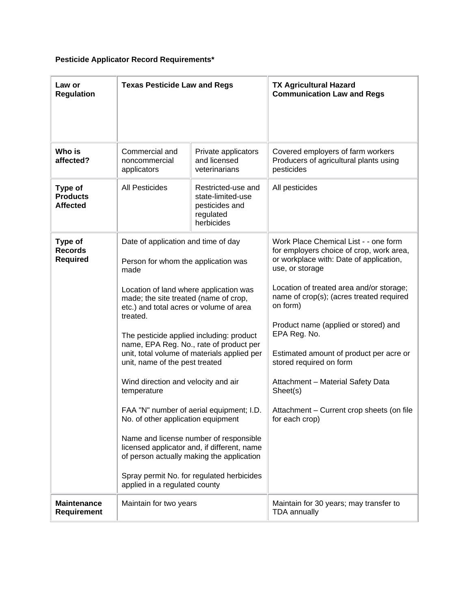## **Pesticide Applicator Record Requirements\***

| Law or<br><b>Regulation</b>                   | <b>Texas Pesticide Law and Regs</b>                                                                                                                                                                                                                                                                          |                                                                                      | <b>TX Agricultural Hazard</b><br><b>Communication Law and Regs</b>                                                                              |
|-----------------------------------------------|--------------------------------------------------------------------------------------------------------------------------------------------------------------------------------------------------------------------------------------------------------------------------------------------------------------|--------------------------------------------------------------------------------------|-------------------------------------------------------------------------------------------------------------------------------------------------|
| Who is<br>affected?                           | Commercial and<br>noncommercial<br>applicators                                                                                                                                                                                                                                                               | Private applicators<br>and licensed<br>veterinarians                                 | Covered employers of farm workers<br>Producers of agricultural plants using<br>pesticides                                                       |
| Type of<br><b>Products</b><br><b>Affected</b> | <b>All Pesticides</b>                                                                                                                                                                                                                                                                                        | Restricted-use and<br>state-limited-use<br>pesticides and<br>regulated<br>herbicides | All pesticides                                                                                                                                  |
| Type of<br><b>Records</b><br><b>Required</b>  | Date of application and time of day<br>Person for whom the application was<br>made                                                                                                                                                                                                                           |                                                                                      | Work Place Chemical List - - one form<br>for employers choice of crop, work area,<br>or workplace with: Date of application,<br>use, or storage |
|                                               | Location of land where application was<br>made; the site treated (name of crop,<br>etc.) and total acres or volume of area<br>treated.                                                                                                                                                                       |                                                                                      | Location of treated area and/or storage;<br>name of crop(s); (acres treated required<br>on form)                                                |
|                                               | The pesticide applied including: product<br>name, EPA Reg. No., rate of product per<br>unit, total volume of materials applied per<br>unit, name of the pest treated<br>Wind direction and velocity and air<br>temperature<br>FAA "N" number of aerial equipment; I.D.<br>No. of other application equipment |                                                                                      | Product name (applied or stored) and<br>EPA Reg. No.                                                                                            |
|                                               |                                                                                                                                                                                                                                                                                                              |                                                                                      | Estimated amount of product per acre or<br>stored required on form                                                                              |
|                                               |                                                                                                                                                                                                                                                                                                              |                                                                                      | Attachment - Material Safety Data<br>Sheet(s)                                                                                                   |
|                                               |                                                                                                                                                                                                                                                                                                              |                                                                                      | Attachment - Current crop sheets (on file<br>for each crop)                                                                                     |
|                                               | Name and license number of responsible<br>licensed applicator and, if different, name<br>of person actually making the application                                                                                                                                                                           |                                                                                      |                                                                                                                                                 |
|                                               | Spray permit No. for regulated herbicides<br>applied in a regulated county                                                                                                                                                                                                                                   |                                                                                      |                                                                                                                                                 |
| <b>Maintenance</b><br>Requirement             | Maintain for two years                                                                                                                                                                                                                                                                                       |                                                                                      | Maintain for 30 years; may transfer to<br><b>TDA</b> annually                                                                                   |